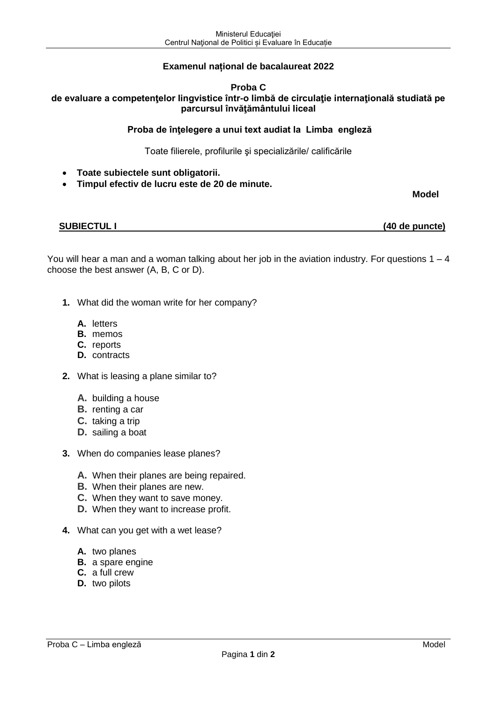# **Examenul național de bacalaureat 2022**

## **Proba C de evaluare a competenţelor lingvistice într-o limbă de circulaţie internaţională studiată pe parcursul învăţământului liceal**

## **Proba de înţelegere a unui text audiat la Limba engleză**

Toate filierele, profilurile şi specializările/ calificările

- **Toate subiectele sunt obligatorii.**
- **Timpul efectiv de lucru este de 20 de minute.**

**Model**

**SUBIECTUL I (40 de puncte)**

You will hear a man and a woman talking about her job in the aviation industry. For questions  $1 - 4$ choose the best answer (A, B, C or D).

- **1.** What did the woman write for her company?
	- **A.** letters
	- **B.** memos
	- **C.** reports
	- **D.** contracts
- **2.** What is leasing a plane similar to?
	- **A.** building a house
	- **B.** renting a car
	- **C.** taking a trip
	- **D.** sailing a boat
- **3.** When do companies lease planes?
	- **A.** When their planes are being repaired.
	- **B.** When their planes are new.
	- **C.** When they want to save money.
	- **D.** When they want to increase profit.
- **4.** What can you get with a wet lease?
	- **A.** two planes
	- **B.** a spare engine
	- **C.** a full crew
	- **D.** two pilots